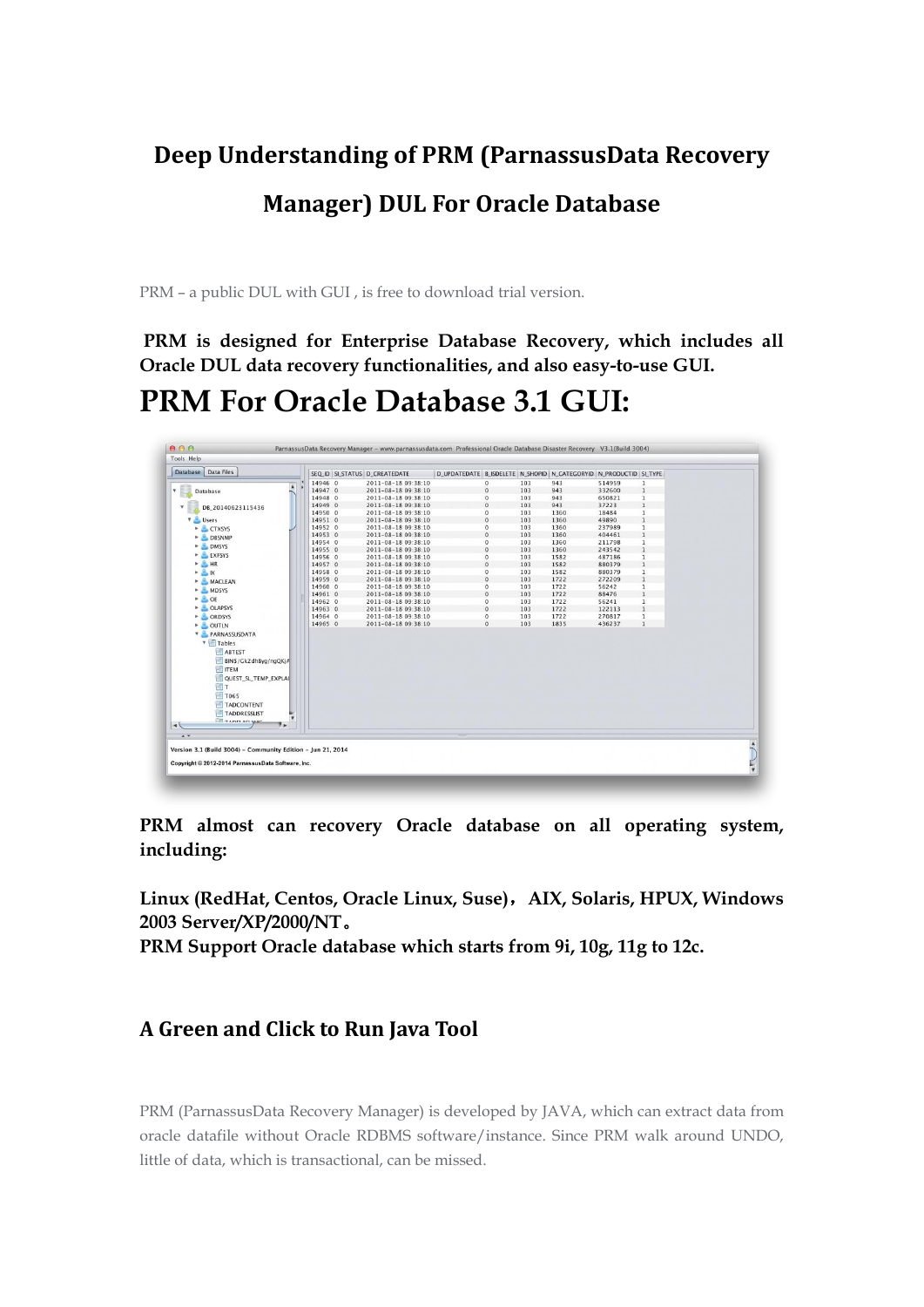# **Deep Understanding of PRM (ParnassusData Recovery Manager) DUL For Oracle Database**

PRM – a public DUL with GUI , is free to download trial version.

**PRM is designed for Enterprise Database Recovery, which includes all Oracle DUL data recovery functionalities, and also easy-to-use GUI.**

# **PRM For Oracle Database 3.1 GUI:**

| Database Data Files              | SEQ_ID SI_STATUS D_CREATEDATE |                     | D_UPDATEDATE   B_ISDELETE   N_SHOPID   N_CATEGORYID   N_PRODUCTID   SI_TYPE |                |     |      |        |              |
|----------------------------------|-------------------------------|---------------------|-----------------------------------------------------------------------------|----------------|-----|------|--------|--------------|
|                                  | 14946 0                       | 2011-08-18 09:38:10 |                                                                             | $\circ$        | 103 | 943  | 514959 | 1            |
| A<br>$\mathbf{v}$<br>Database    | 14947 0                       | 2011-08-18 09:38:10 |                                                                             | $\bf{0}$       | 103 | 943  | 332600 | $\mathbf{1}$ |
|                                  | 14948 0                       | 2011-08-18 09:38:10 |                                                                             | $\bf{0}$       | 103 | 943  | 650821 | $\mathbf{1}$ |
| DB 20140623115436<br>$\mathbf v$ | 14949 0                       | 2011-08-18 09:38:10 |                                                                             | $\bf{0}$       | 103 | 943  | 37223  | $\mathbf{1}$ |
|                                  | 14950 0                       | 2011-08-18 09:38:10 |                                                                             | $\theta$       | 103 | 1360 | 18484  | $\mathbf{1}$ |
| V Users                          | 14951 0                       | 2011-08-18 09:38:10 |                                                                             | $\bf 0$        | 103 | 1360 | 49890  | $\mathbf{1}$ |
| CTXSYS                           | 14952 0                       | 2011-08-18 09:38:10 |                                                                             | $\bf{0}$       | 103 | 1360 | 237989 | $\mathbf{1}$ |
| DBSNMP                           | 14953 0                       | 2011-08-18 09:38:10 |                                                                             | $\bf{0}$       | 103 | 1360 | 404461 | $\mathbf{1}$ |
| DMSYS                            | 14954 0                       | 2011-08-18 09:38:10 |                                                                             | $\bf{0}$       | 103 | 1360 | 211798 | $\mathbf{1}$ |
|                                  | 14955 0                       | 2011-08-18 09:38:10 |                                                                             | $\overline{0}$ | 103 | 1360 | 243542 | $\mathbf{1}$ |
| EXFSYS                           | 14956 0                       | 2011-08-18 09:38:10 |                                                                             | $\bf{0}$       | 103 | 1582 | 487186 | $\mathbf 1$  |
| $ HR$                            | 14957 0                       | 2011-08-18 09:38:10 |                                                                             | $\circ$        | 103 | 1582 | 880379 | $\mathbf{1}$ |
| $\triangleright$ $\triangle$ IX  | 14958 0                       | 2011-08-18 09:38:10 |                                                                             | $\mathbf{0}$   | 103 | 1582 | 880379 | $\mathbf{1}$ |
| > MACLEAN                        | 14959 0                       | 2011-08-18 09:38:10 |                                                                             | $\bf{0}$       | 103 | 1722 | 272209 | $\mathbf{1}$ |
| MDSYS                            | 14960 0                       | 2011-08-18 09:38:10 |                                                                             | $\bf{0}$       | 103 | 1722 | 56242  | $\,1$        |
| $\triangleright$ $\triangle$ OE  | 14961 0                       | 2011-08-18 09:38:10 |                                                                             | $\mathbf{0}$   | 103 | 1722 | 88476  | $\mathbf{1}$ |
|                                  | 14962 0                       | 2011-08-18 09:38:10 |                                                                             | $\bf{0}$       | 103 | 1722 | 56241  | 1            |
| DLAPSYS                          | 14963 0                       | 2011-08-18 09:38:10 |                                                                             | $\bf{0}$       | 103 | 1722 | 122113 | $\mathbf{1}$ |
| C ORDSYS                         | 14964 0                       | 2011-08-18 09:38:10 |                                                                             | $\bf{0}$       | 103 | 1722 | 270817 | $\mathbf{1}$ |
| DUTLN                            | 14965 0                       | 2011-08-18 09:38:10 |                                                                             | $\,$ 0 $\,$    | 103 | 1835 | 436237 | $\mathbf{1}$ |
| <b>Y</b> PARNASSUSDATA           |                               |                     |                                                                             |                |     |      |        |              |
| <b>v</b> Tables                  |                               |                     |                                                                             |                |     |      |        |              |
| ABTEST                           |                               |                     |                                                                             |                |     |      |        |              |
| BINS/Gk2dhByg/ngQKjA             |                               |                     |                                                                             |                |     |      |        |              |
| <b>TEM</b>                       |                               |                     |                                                                             |                |     |      |        |              |
|                                  |                               |                     |                                                                             |                |     |      |        |              |
| QUEST_SL_TEMP_EXPLAI             |                               |                     |                                                                             |                |     |      |        |              |
| T                                |                               |                     |                                                                             |                |     |      |        |              |
| T065                             |                               |                     |                                                                             |                |     |      |        |              |
| <b>TADCONTENT</b>                |                               |                     |                                                                             |                |     |      |        |              |
| <b>TADDRESSLIST</b>              |                               |                     |                                                                             |                |     |      |        |              |
| <b>EL TADDI ACUBAC</b>           |                               |                     |                                                                             |                |     |      |        |              |
| $\rightarrow$<br>9×.             |                               |                     |                                                                             |                |     |      |        |              |
|                                  |                               |                     |                                                                             |                |     |      |        |              |

**PRM almost can recovery Oracle database on all operating system, including:**

**Linux (RedHat, Centos, Oracle Linux, Suse)**,**AIX, Solaris, HPUX, Windows 2003 Server/XP/2000/NT**。

**PRM Support Oracle database which starts from 9i, 10g, 11g to 12c.**

#### **A Green and Click to Run Java Tool**

PRM (ParnassusData Recovery Manager) is developed by JAVA, which can extract data from oracle datafile without Oracle RDBMS software/instance. Since PRM walk around UNDO, little of data, which is transactional, can be missed.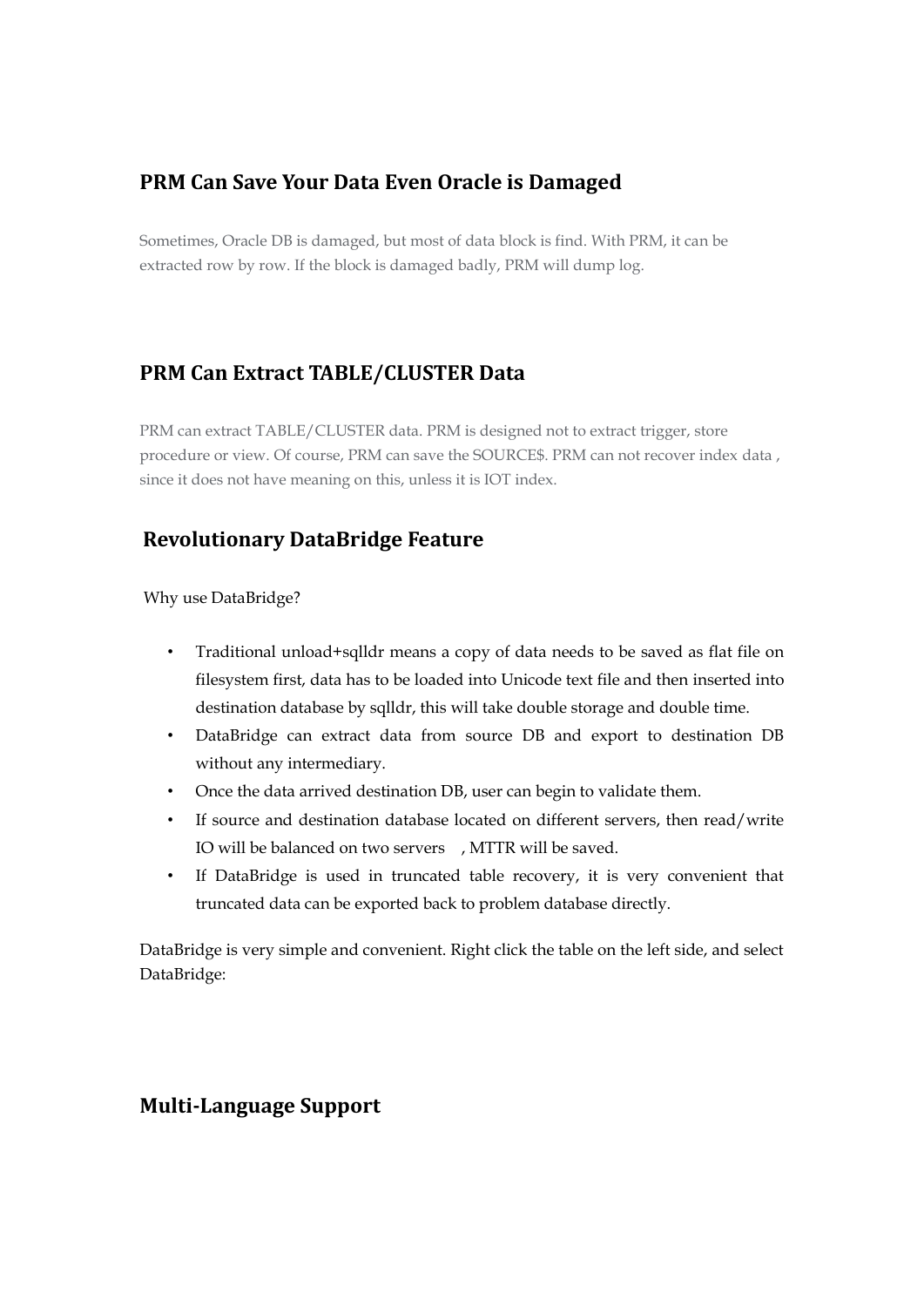### **PRM Can Save Your Data Even Oracle is Damaged**

Sometimes, Oracle DB is damaged, but most of data block is find. With PRM, it can be extracted row by row. If the block is damaged badly, PRM will dump log.

## **PRM Can Extract TABLE/CLUSTER Data**

PRM can extract TABLE/CLUSTER data. PRM is designed not to extract trigger, store procedure or view. Of course, PRM can save the SOURCE\$. PRM can not recover index data , since it does not have meaning on this, unless it is IOT index.

#### **Revolutionary DataBridge Feature**

Why use DataBridge?

- Traditional unload+sqlldr means a copy of data needs to be saved as flat file on filesystem first, data has to be loaded into Unicode text file and then inserted into destination database by sqlldr, this will take double storage and double time.
- DataBridge can extract data from source DB and export to destination DB without any intermediary.
- Once the data arrived destination DB, user can begin to validate them.
- If source and destination database located on different servers, then read/write IO will be balanced on two servers , MTTR will be saved.
- If DataBridge is used in truncated table recovery, it is very convenient that truncated data can be exported back to problem database directly.

DataBridge is very simple and convenient. Right click the table on the left side, and select DataBridge:

#### **Multi-Language Support**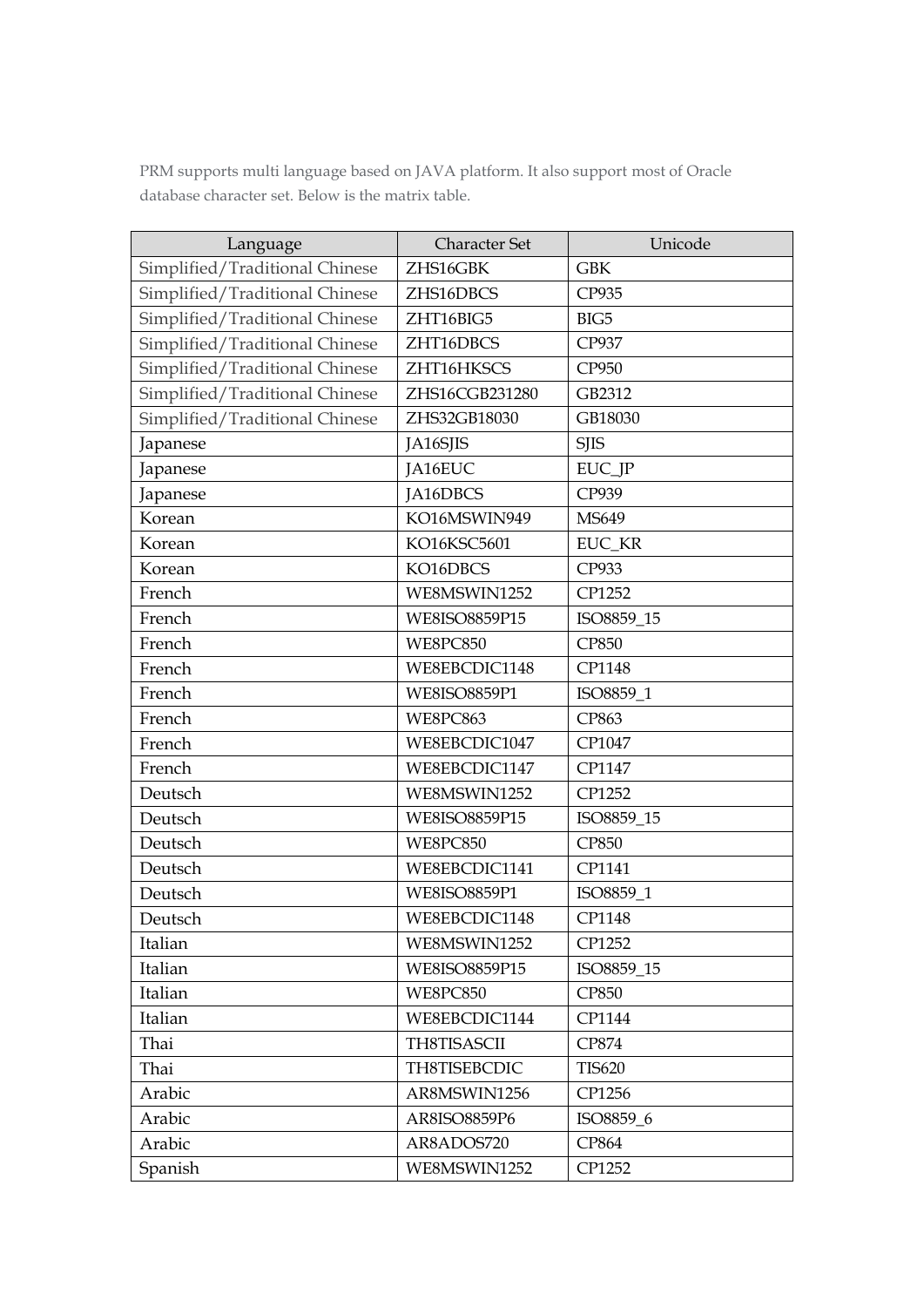PRM supports multi language based on JAVA platform. It also support most of Oracle database character set. Below is the matrix table.

| Language                       | <b>Character Set</b> | Unicode       |  |
|--------------------------------|----------------------|---------------|--|
| Simplified/Traditional Chinese | ZHS16GBK             | <b>GBK</b>    |  |
| Simplified/Traditional Chinese | ZHS16DBCS            | CP935         |  |
| Simplified/Traditional Chinese | ZHT16BIG5            | BIG5          |  |
| Simplified/Traditional Chinese | ZHT16DBCS            | CP937         |  |
| Simplified/Traditional Chinese | ZHT16HKSCS           | CP950         |  |
| Simplified/Traditional Chinese | ZHS16CGB231280       | GB2312        |  |
| Simplified/Traditional Chinese | ZHS32GB18030         | GB18030       |  |
| Japanese                       | JA16SJIS             | <b>SJIS</b>   |  |
| Japanese                       | JA16EUC              | EUC_JP        |  |
| Japanese                       | JA16DBCS             | CP939         |  |
| Korean                         | KO16MSWIN949         | MS649         |  |
| Korean                         | KO16KSC5601          | EUC KR        |  |
| Korean                         | KO16DBCS             | CP933         |  |
| French                         | WE8MSWIN1252         | CP1252        |  |
| French                         | WE8ISO8859P15        | ISO8859 15    |  |
| French                         | <b>WE8PC850</b>      | <b>CP850</b>  |  |
| French                         | WE8EBCDIC1148        | CP1148        |  |
| French                         | <b>WE8ISO8859P1</b>  | ISO8859_1     |  |
| French                         | WE8PC863             | CP863         |  |
| French                         | WE8EBCDIC1047        | CP1047        |  |
| French                         | WE8EBCDIC1147        | CP1147        |  |
| Deutsch                        | WE8MSWIN1252         | CP1252        |  |
| Deutsch                        | WE8ISO8859P15        | ISO8859_15    |  |
| Deutsch                        | WE8PC850             | CP850         |  |
| Deutsch                        | WE8EBCDIC1141        | CP1141        |  |
| Deutsch                        | <b>WE8ISO8859P1</b>  | ISO8859_1     |  |
| Deutsch                        | WE8EBCDIC1148        | CP1148        |  |
| Italian                        | WE8MSWIN1252         | CP1252        |  |
| Italian                        | WE8ISO8859P15        | ISO8859_15    |  |
| Italian                        | WE8PC850             | <b>CP850</b>  |  |
| Italian                        | WE8EBCDIC1144        | CP1144        |  |
| Thai                           | TH8TISASCII          | CP874         |  |
| Thai                           | TH8TISEBCDIC         | <b>TIS620</b> |  |
| Arabic                         | AR8MSWIN1256         | CP1256        |  |
| Arabic                         | AR8ISO8859P6         | ISO8859_6     |  |
| Arabic                         | AR8ADOS720           | CP864         |  |
| Spanish                        | WE8MSWIN1252         | CP1252        |  |